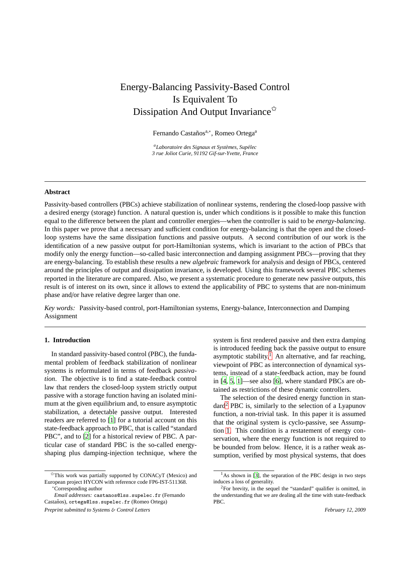# Energy-Balancing Passivity-Based Control Is Equivalent To Dissipation And Output Invariance $\hat{X}$

Fernando Castaños<sup>a,∗</sup>, Romeo Ortega<sup>a</sup>

*<sup>a</sup>Laboratoire des Signaux et Syst`emes, Sup´elec 3 rue Joliot Curie, 91192 Gif-sur-Yvette, France*

## **Abstract**

Passivity-based controllers (PBCs) achieve stabilization of nonlinear systems, rendering the closed-loop passive with a desired energy (storage) function. A natural question is, under which conditions is it possible to make this function equal to the difference between the plant and controller energies—when the controller is said to be *energy-balancing*. In this paper we prove that a necessary and sufficient condition for energy-balancing is that the open and the closedloop systems have the same dissipation functions and passive outputs. A second contribution of our work is the identification of a new passive output for port-Hamiltonian systems, which is invariant to the action of PBCs that modify only the energy function—so-called basic interconnection and damping assignment PBCs—proving that they are energy-balancing. To establish these results a new *algebraic* framework for analysis and design of PBCs, centered around the principles of output and dissipation invariance, is developed. Using this framework several PBC schemes reported in the literature are compared. Also, we present a systematic procedure to generate new passive outputs, this result is of interest on its own, since it allows to extend the applicability of PBC to systems that are non-minimum phase and/or have relative degree larger than one.

*Key words:* Passivity-based control, port-Hamiltonian systems, Energy-balance, Interconnection and Damping Assignment

## **1. Introduction**

In standard passivity-based control (PBC), the fundamental problem of feedback stabilization of nonlinear systems is reformulated in terms of feedback *passivation*. The objective is to find a state-feedback control law that renders the closed-loop system strictly output passive with a storage function having an isolated minimum at the given equilibrium and, to ensure asymptotic stabilization, a detectable passive output. Interested readers are referred to [\[1\]](#page-8-0) for a tutorial account on this state-feedback approach to PBC, that is called "standard PBC", and to [\[2\]](#page-8-1) for a historical review of PBC. A particular case of standard PBC is the so-called energyshaping plus damping-injection technique, where the

system is first rendered passive and then extra damping is introduced feeding back the passive output to ensure asymptotic stability.<sup>[1](#page-0-0)</sup> An alternative, and far reaching, viewpoint of PBC as interconnection of dynamical systems, instead of a state-feedback action, may be found in [\[4](#page-8-2), [5,](#page-8-3) [1\]](#page-8-0)—see also [\[6\]](#page-9-0), where standard PBCs are obtained as restrictions of these dynamic controllers.

The selection of the desired energy function in standard[2](#page-0-1) PBC is, similarly to the selection of a Lyapunov function, a non-trivial task. In this paper it is assumed that the original system is cyclo-passive, see Assumption [1.](#page-1-0) This condition is a restatement of energy conservation, where the energy function is not required to be bounded from below. Hence, it is a rather weak assumption, verified by most physical systems, that does

<sup>✩</sup>This work was partially supported by CONACyT (Mexico) and European project HYCON with reference code FP6-IST-511368. <sup>∗</sup>Corresponding author

*Email addresses:* castanos@lss.supelec.fr (Fernando Castaños), ortega@lss.supelec.fr (Romeo Ortega) *Preprint submitted to Systems* & *Control Letters February 12, 2009*

<span id="page-0-0"></span> $<sup>1</sup>$ As shown in [\[3\]](#page-8-4), the separation of the PBC design in two steps</sup> induces a loss of generality.

<span id="page-0-1"></span><sup>2</sup>For brevity, in the sequel the "standard" qualifier is omitted, in the understanding that we are dealing all the time with state-feedback PBC.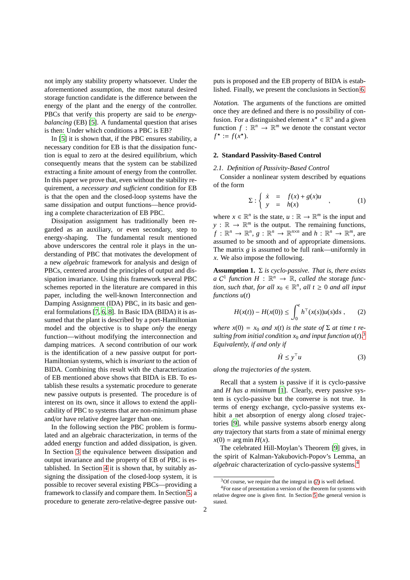not imply any stability property whatsoever. Under the aforementioned assumption, the most natural desired storage function candidate is the difference between the energy of the plant and the energy of the controller. PBCs that verify this property are said to be *energybalancing* (EB) [\[5](#page-8-3)]. A fundamental question that arises is then: Under which conditions a PBC is EB?

In [\[5\]](#page-8-3) it is shown that, if the PBC ensures stability, a necessary condition for EB is that the dissipation function is equal to zero at the desired equilibrium, which consequently means that the system can be stabilized extracting a finite amount of energy from the controller. In this paper we prove that, even without the stability requirement, a *necessary and sufficient* condition for EB is that the open and the closed-loop systems have the same dissipation and output functions—hence providing a complete characterization of EB PBC.

Dissipation assignment has traditionally been regarded as an auxiliary, or even secondary, step to energy-shaping. The fundamental result mentioned above underscores the central role it plays in the understanding of PBC that motivates the development of a new *algebraic* framework for analysis and design of PBCs, centered around the principles of output and dissipation invariance. Using this framework several PBC schemes reported in the literature are compared in this paper, including the well-known Interconnection and Damping Assignment (IDA) PBC, in its basic and general formulations [\[7,](#page-9-1) [6,](#page-9-0) [8](#page-9-2)]. In Basic IDA (BIDA) it is assumed that the plant is described by a port-Hamiltonian model and the objective is to shape *only* the energy function—without modifying the interconnection and damping matrices. A second contribution of our work is the identification of a new passive output for port-Hamiltonian systems, which is *invariant* to the action of BIDA. Combining this result with the characterization of EB mentioned above shows that BIDA is EB. To establish these results a systematic procedure to generate new passive outputs is presented. The procedure is of interest on its own, since it allows to extend the applicability of PBC to systems that are non-minimum phase and/or have relative degree larger than one.

In the following section the PBC problem is formulated and an algebraic characterization, in terms of the added energy function and added dissipation, is given. In Section [3](#page-3-0) the equivalence between dissipation and output invariance and the property of EB of PBC is established. In Section [4](#page-3-1) it is shown that, by suitably assigning the dissipation of the closed-loop system, it is possible to recover several existing PBCs—providing a framework to classify and compare them. In Section [5,](#page-5-0) a procedure to generate zero-relative-degree passive outputs is proposed and the EB property of BIDA is established. Finally, we present the conclusions in Section [6.](#page-8-5)

*Notation.* The arguments of the functions are omitted once they are defined and there is no possibility of confusion. For a distinguished element  $x^* \in \mathbb{R}^n$  and a given function  $f: \mathbb{R}^n \to \mathbb{R}^m$  we denote the constant vector  $f^{\star} := f(x^{\star}).$ 

# **2. Standard Passivity-Based Control**

## *2.1. Definition of Passivity-Based Control*

Consider a nonlinear system described by equations of the form

$$
\Sigma: \begin{cases} \dot{x} = f(x) + g(x)u \\ y = h(x) \end{cases} , \qquad (1)
$$

<span id="page-1-4"></span>where  $x \in \mathbb{R}^n$  is the state,  $u : \mathbb{R} \to \mathbb{R}^m$  is the input and  $y : \mathbb{R} \to \mathbb{R}^m$  is the output. The remaining functions,  $f: \mathbb{R}^n \to \mathbb{R}^n$ ,  $g: \mathbb{R}^n \to \mathbb{R}^{n \times n}$  and  $h: \mathbb{R}^n \to \mathbb{R}^m$ , are assumed to be smooth and of appropriate dimensions. The matrix *g* is assumed to be full rank—uniformly in *x*. We also impose the following.

<span id="page-1-0"></span>**Assumption 1.** Σ *is cyclo-passive. That is, there exists*  $a \ C^1$  function  $H : \mathbb{R}^n \to \mathbb{R}$ , called the storage func*tion, such that, for all*  $x_0 \in \mathbb{R}^n$ *, all*  $t \geq 0$  *and all input functions u*(*t*)

$$
H(x(t)) - H(x(0)) \le \int_0^t h^{\top}(x(s))u(s)ds , \qquad (2)
$$

<span id="page-1-3"></span>*where*  $x(0) = x_0$  *and*  $x(t)$  *is the state of*  $\Sigma$  *at time t re*sulting from initial condition  $x_0$  and input function  $u(t)$ .<sup>[3](#page-1-1)</sup> *Equivalently, if and only if*

$$
\dot{H} \le y^\top u \tag{3}
$$

*along the trajectories of the system.*

Recall that a system is passive if it is cyclo-passive and *H has a minimum* [\[1](#page-8-0)]. Clearly, every passive system is cyclo-passive but the converse is not true. In terms of energy exchange, cyclo-passive systems exhibit a net absorption of energy along *closed* trajectories [\[9\]](#page-9-3), while passive systems absorb energy along *any* trajectory that starts from a state of minimal energy  $x(0) = \arg \min H(x)$ .

<span id="page-1-5"></span>The celebrated Hill-Moylan's Theorem [\[9\]](#page-9-3) gives, in the spirit of Kalman-Yakubovich-Popov's Lemma, an *algebraic* characterization of cyclo-passive systems.[4](#page-1-2)

<sup>3</sup>Of course, we require that the integral in [\(2\)](#page-1-3) is well defined.

<span id="page-1-2"></span><span id="page-1-1"></span><sup>4</sup>For ease of presentation a version of the theorem for systems with relative degree one is given first. In Section [5](#page-5-0) the general version is stated.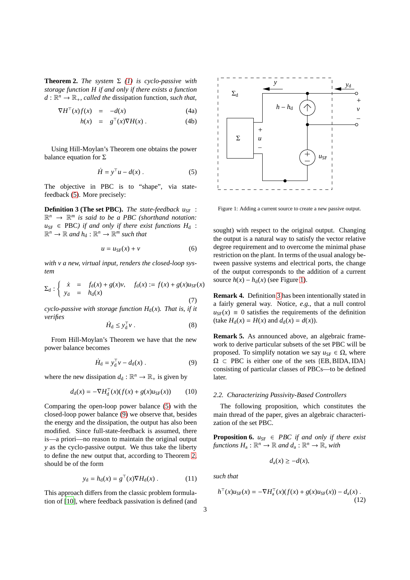<span id="page-2-5"></span>**Theorem 2.** *The system*  $\Sigma$  [\(1\)](#page-1-4) *is cyclo-passive with storage function H if and only if there exists a function*  $d: \mathbb{R}^n \to \mathbb{R}_+$ , *called the* dissipation function, *such that*,

$$
\nabla H^{\top}(x)f(x) = -d(x) \tag{4a}
$$

$$
h(x) = g^{\top}(x)\nabla H(x) . \qquad (4b)
$$

Using Hill-Moylan's Theorem one obtains the power balance equation for  $\Sigma$ 

$$
\dot{H} = y^{\top}u - d(x) \tag{5}
$$

<span id="page-2-3"></span><span id="page-2-0"></span>The objective in PBC is to "shape", via statefeedback [\(5\)](#page-2-0). More precisely:

**Definition 3 (The set PBC).** *The state-feedback*  $u_{SF}$ :  $\mathbb{R}^n \to \mathbb{R}^m$  *is said to be a PBC (shorthand notation:*  $u_{SF} \in PBC$ *) if and only if there exist functions*  $H_d$ :  $\mathbb{R}^n \to \mathbb{R}$  and  $h_d : \mathbb{R}^n \to \mathbb{R}^m$  such that

$$
u = u_{\text{SF}}(x) + v \tag{6}
$$

*with v a new, virtual input, renders the closed-loop system*

$$
\Sigma_{d} : \begin{cases}\n\dot{x} = f_{d}(x) + g(x)v, & f_{d}(x) := f(x) + g(x)u_{SF}(x) \\
y_{d} = h_{d}(x)\n\end{cases}
$$
\n(7)

*cyclo-passive with storage function*  $H_d(x)$ *. That is, if it verifies*

$$
\dot{H}_{\rm d} \le y_{\rm d}^{\top} v \ . \tag{8}
$$

From Hill-Moylan's Theorem we have that the new power balance becomes

$$
\dot{H}_{\rm d} = y_{\rm d}^{\rm T} v - d_{\rm d}(x) \,. \tag{9}
$$

<span id="page-2-1"></span>where the new dissipation  $d_d : \mathbb{R}^n \to \mathbb{R}_+$  is given by

$$
d_{d}(x) = -\nabla H_{d}^{\top}(x)(f(x) + g(x)u_{SF}(x))
$$
 (10)

<span id="page-2-7"></span>Comparing the open-loop power balance [\(5\)](#page-2-0) with the closed-loop power balance [\(9\)](#page-2-1) we observe that, besides the energy and the dissipation, the output has also been modified. Since full-state-feedback is assumed, there is—a priori—no reason to maintain the original output *y* as the cyclo-passive output. We thus take the liberty to define the new output that, according to Theorem [2,](#page-1-5) should be of the form

$$
y_d = h_d(x) = g^T(x)\nabla H_d(x)
$$
. (11)

<span id="page-2-6"></span>This approach differs from the classic problem formulation of [\[10\]](#page-9-4), where feedback passivation is defined (and



<span id="page-2-2"></span>Figure 1: Adding a current source to create a new passive output.

sought) with respect to the original output. Changing the output is a natural way to satisfy the vector relative degree requirement and to overcome the minimal phase restriction on the plant. In terms of the usual analogy between passive systems and electrical ports, the change of the output corresponds to the addition of a current source  $h(x) - h_d(x)$  (see Figure [1\)](#page-2-2).

**Remark 4.** Definition [3](#page-2-3) has been intentionally stated in a fairly general way. Notice, *e.g.*, that a null control  $u_{SF}(x) = 0$  satisfies the requirements of the definition  $(take H<sub>d</sub>(x) = H(x)$  and  $d<sub>d</sub>(x) = d(x)$ .

**Remark 5.** As announced above, an algebraic framework to derive particular subsets of the set PBC will be proposed. To simplify notation we say  $u_{SF} \in \Omega$ , where  $\Omega \subset PBC$  is either one of the sets {EB, BIDA, IDA} consisting of particular classes of PBCs—to be defined later.

#### *2.2. Characterizing Passivity-Based Controllers*

The following proposition, which constitutes the main thread of the paper, gives an algebraic characterization of the set PBC.

<span id="page-2-8"></span>**Proposition 6.**  $u_{SF} \in PBC$  if and only if there exist *functions*  $H_a: \mathbb{R}^n \to \mathbb{R}$  and  $d_a: \mathbb{R}^n \to \mathbb{R}$ , with

$$
d_{\mathbf{a}}(x) \geq -d(x),
$$

<span id="page-2-4"></span>*such that*

$$
h^{\top}(x)u_{SF}(x) = -\nabla H_a^{\top}(x)(f(x) + g(x)u_{SF}(x)) - d_a(x).
$$
\n(12)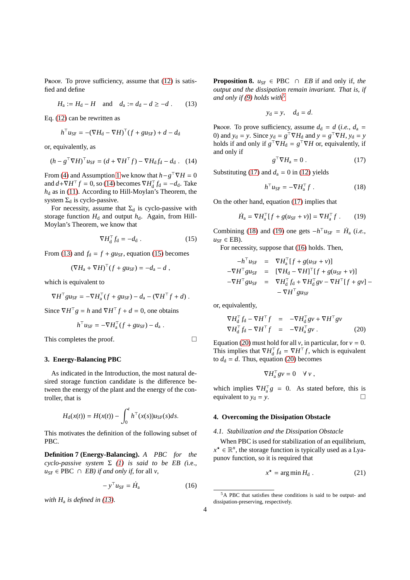PROOF. To prove sufficiency, assume that  $(12)$  is satisfied and define

$$
H_a := H_d - H
$$
 and  $d_a := d_d - d \ge -d$ . (13)

<span id="page-3-3"></span>Eq. [\(12\)](#page-2-4) can be rewritten as

$$
h^{\top}u_{\text{SF}} = -(\nabla H_d - \nabla H)^{\top} (f + gu_{\text{SF}}) + d - d_d
$$

<span id="page-3-2"></span>or, equivalently, as

$$
(h - g^{\top} \nabla H)^{\top} u_{\text{SF}} = (d + \nabla H^{\top} f) - \nabla H_{\text{d}} f_{\text{d}} - d_{\text{d}} \ . \quad (14)
$$

From [\(4\)](#page-2-5) and Assumption [1](#page-1-0) we know that  $h-g^{\top} \nabla H = 0$ and  $d + \nabla H^{\top} f = 0$ , so [\(14\)](#page-3-2) becomes  $\nabla H_d^{\top} f_d = -d_d$ . Take  $h_d$  as in [\(11\)](#page-2-6). According to Hill-Moylan's Theorem, the system  $\Sigma_d$  is cyclo-passive.

For necessity, assume that  $\Sigma_d$  is cyclo-passive with storage function  $H_d$  and output  $h_d$ . Again, from Hill-Moylan's Theorem, we know that

$$
\nabla H_{\mathbf{d}}^{\top} f_{\mathbf{d}} = -d_{\mathbf{d}} \ . \tag{15}
$$

<span id="page-3-4"></span>From [\(13\)](#page-3-3) and  $f_d = f + gu_{SF}$ , equation [\(15\)](#page-3-4) becomes

$$
(\nabla H_a + \nabla H)^{\top} (f + gu_{SF}) = -d_a - d,
$$

which is equivalent to

$$
\nabla H^{\top}gu_{SF} = -\nabla H_a^{\top}(f + gu_{SF}) - d_a - (\nabla H^{\top}f + d).
$$

Since  $\nabla H^{\top}g = h$  and  $\nabla H^{\top}f + d = 0$ , one obtains

$$
h^{\top}u_{\rm SF} = -\nabla H_a^{\top}(f + gu_{\rm SF}) - d_a.
$$

This completes the proof.  $\Box$ 

#### <span id="page-3-0"></span>**3. Energy-Balancing PBC**

As indicated in the Introduction, the most natural desired storage function candidate is the difference between the energy of the plant and the energy of the controller, that is

$$
H_{d}(x(t)) = H(x(t)) - \int_{0}^{t} h^{\top}(x(s))u_{SF}(s)ds.
$$

This motivates the definition of the following subset of PBC.

**Definition 7 (Energy-Balancing).** *A PBC for the cyclo-passive system*  $\Sigma$  [\(1\)](#page-1-4) *is said to be EB* (i.e.,  $u_{SF} \in PBC \cap EB$ *) if and only if, for all v,* 

$$
-y^{\top}u_{\rm SF} = \dot{H}_{\rm a} \tag{16}
$$

<span id="page-3-9"></span>*with*  $H_a$  *is defined in [\(13\)](#page-3-3).* 

**Proposition 8.**  $u_{SF} \in PBC \cap EB$  if and only if, the *output and the dissipation remain invariant. That is, if and only if [\(9\)](#page-2-1) holds with*[5](#page-3-5)

$$
y_{\rm d} = y, \quad d_{\rm d} = d.
$$

PROOF. To prove sufficiency, assume  $d_d = d$  (*i.e.*,  $d_a =$ 0) and  $y_d = y$ . Since  $y_d = g^T \nabla H_d$  and  $y = g^T \nabla H$ ,  $y_d = y$ holds if and only if  $g^{\top} \nabla H_d = g^{\top} \nabla H$  or, equivalently, if and only if

$$
g^{\top}\nabla H_{\rm a}=0\ .\tag{17}
$$

<span id="page-3-7"></span><span id="page-3-6"></span>Substituting [\(17\)](#page-3-6) and  $d_a = 0$  in [\(12\)](#page-2-4) yields

$$
h^{\top} u_{\rm SF} = -\nabla H_a^{\top} f . \qquad (18)
$$

<span id="page-3-8"></span>On the other hand, equation [\(17\)](#page-3-6) implies that

$$
\dot{H}_a = \nabla H_a^\top [f + g(u_{SF} + v)] = \nabla H_a^\top f. \qquad (19)
$$

Combining [\(18\)](#page-3-7) and [\(19\)](#page-3-8) one gets  $-h^{\dagger}u_{SF} = \dot{H}_a$  (*i.e.*,  $u_{SF} \in EB$ ).

For necessity, suppose that [\(16\)](#page-3-9) holds. Then,

$$
-h^{\top}u_{SF} = \nabla H_a^{\top} [f + g(u_{SF} + v)]
$$
  
\n
$$
-\nabla H^{\top}gu_{SF} = [\nabla H_d - \nabla H]^{\top} [f + g(u_{SF} + v)]
$$
  
\n
$$
-\nabla H^{\top}gu_{SF} = \nabla H_d^{\top} f_d + \nabla H_d^{\top} gv - \nabla H^{\top} [f + gv] -
$$
  
\n
$$
-\nabla H^{\top} gu_{SF}
$$

<span id="page-3-10"></span>or, equivalently,

$$
\nabla H_{\mathrm{d}}^{\mathrm{T}} f_{\mathrm{d}} - \nabla H^{\mathrm{T}} f = -\nabla H_{\mathrm{d}}^{\mathrm{T}} g v + \nabla H^{\mathrm{T}} g v \n\nabla H_{\mathrm{d}}^{\mathrm{T}} f_{\mathrm{d}} - \nabla H^{\mathrm{T}} f = -\nabla H_{\mathrm{a}}^{\mathrm{T}} g v .
$$
\n(20)

Equation [\(20\)](#page-3-10) must hold for all  $\nu$ , in particular, for  $\nu = 0$ . This implies that  $\nabla H_d^{\top} f_d = \nabla H^{\top} f$ , which is equivalent to  $d_d = d$ . Thus, equation [\(20\)](#page-3-10) becomes

$$
\nabla H_a^{\top} g v = 0 \quad \forall v,
$$

which implies  $\nabla H_a^{\top} g = 0$ . As stated before, this is equivalent to  $y_d = y$ .

#### <span id="page-3-1"></span>**4. Overcoming the Dissipation Obstacle**

#### *4.1. Stabilization and the Dissipation Obstacle*

When PBC is used for stabilization of an equilibrium.  $x^* \in \mathbb{R}^n$ , the storage function is typically used as a Lyapunov function, so it is required that

$$
x^* = \arg\min H_d \,. \tag{21}
$$

<span id="page-3-11"></span><span id="page-3-5"></span><sup>5</sup>A PBC that satisfies these conditions is said to be output- and dissipation-preserving, respectively.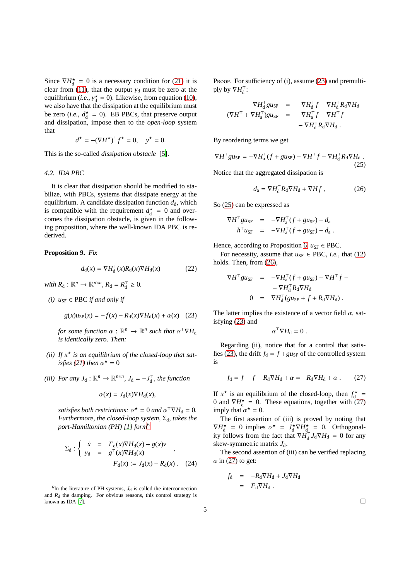Since  $\nabla H_{d}^{\star} = 0$  is a necessary condition for [\(21\)](#page-3-11) it is clear from [\(11\)](#page-2-6), that the output  $y_d$  must be zero at the equilibrium (*i.e.*,  $y_d^* = 0$ ). Likewise, from equation [\(10\)](#page-2-7), we also have that the dissipation at the equilibrium must be zero (*i.e.*,  $d_d^* = 0$ ). EB PBCs, that preserve output and dissipation, impose then to the *open-loop* system that

$$
d^* = -(\nabla H^*)^\top f^* = 0, \quad y^* = 0.
$$

This is the so-called *dissipation obstacle* [\[5\]](#page-8-3).

## *4.2. IDA PBC*

It is clear that dissipation should be modified to stabilize, with PBCs, systems that dissipate energy at the equilibrium. A candidate dissipation function  $d_d$ , which is compatible with the requirement  $d_{d}^{\star} = 0$  and overcomes the dissipation obstacle, is given in the following proposition, where the well-known IDA PBC is rederived.

#### **Proposition 9.** *Fix*

$$
d_{\mathbf{d}}(x) = \nabla H_{\mathbf{d}}^{\top}(x) R_{\mathbf{d}}(x) \nabla H_{\mathbf{d}}(x) \tag{22}
$$

 $with R_d: \mathbb{R}^n \to \mathbb{R}^{n \times n}, R_d = R_d^{\top} \geq 0.$ 

<span id="page-4-1"></span> $(i)$   $u_{SF} \in PBC$  *if and only if* 

$$
g(x)u_{SF}(x) = -f(x) - R_d(x)\nabla H_d(x) + \alpha(x) \quad (23)
$$

*for some function*  $\alpha$  :  $\mathbb{R}^n \to \mathbb{R}^n$  *such that*  $\alpha^{\top} \nabla H_d$ *is identically zero. Then:*

- (*ii*) If  $x^*$  is an equilibrium of the closed-loop that sat*isfies* [\(21\)](#page-3-11) *then*  $\alpha^* = 0$
- *(iii)* For any  $J_d : \mathbb{R}^n \to \mathbb{R}^{n \times n}$ ,  $J_d = -J_d^T$ , the function

$$
\alpha(x) = J_{\rm d}(x)\nabla H_{\rm d}(x),
$$

*satisfies both restrictions:*  $\alpha^* = 0$  *and*  $\alpha^{\top} \nabla H_d = 0$ . *Furthermore, the closed-loop system,*  $\Sigma_d$ *, takes the port-Hamiltonian (PH) [\[1](#page-8-0)] form*[6](#page-4-0)

$$
\Sigma_{\rm d} : \left\{ \begin{array}{rcl} \dot{x} & = & F_{\rm d}(x) \nabla H_{\rm d}(x) + g(x) \nu \\ y_{\rm d} & = & g^{\top}(x) \nabla H_{\rm d}(x) \\ F_{\rm d}(x) & := & J_{\rm d}(x) - R_{\rm d}(x) \end{array} \right. \tag{24}
$$

PROOF. For sufficiency of (i), assume [\(23\)](#page-4-1) and premultiply by  $\nabla H_d^{\top}$ :

$$
\nabla H_{\rm d}^{\rm T} g u_{\rm SF} = -\nabla H_{\rm d}^{\rm T} f - \nabla H_{\rm d}^{\rm T} R_{\rm d} \nabla H_{\rm d}
$$

$$
(\nabla H^{\rm T} + \nabla H_{\rm a}^{\rm T}) g u_{\rm SF} = -\nabla H_{\rm a}^{\rm T} f - \nabla H^{\rm T} f -
$$

$$
-\nabla H_{\rm d}^{\rm T} R_{\rm d} \nabla H_{\rm d}.
$$

By reordering terms we get

<span id="page-4-2"></span>
$$
\nabla H^{\top} g u_{\rm SF} = -\nabla H_a^{\top} (f + g u_{\rm SF}) - \nabla H^{\top} f - \nabla H_d^{\top} R_d \nabla H_d.
$$
\n(25)

<span id="page-4-3"></span>Notice that the aggregated dissipation is

$$
d_{\mathbf{a}} = \nabla H_{\mathbf{d}}^{\top} R_{\mathbf{d}} \nabla H_{\mathbf{d}} + \nabla H f \tag{26}
$$

So [\(25\)](#page-4-2) can be expressed as

$$
\nabla H^{\top} g u_{\rm SF} = -\nabla H_a^{\top} (f + g u_{\rm SF}) - d_a
$$
  

$$
h^{\top} u_{\rm SF} = -\nabla H_a^{\top} (f + g u_{\rm SF}) - d_a.
$$

Hence, according to Proposition [6,](#page-2-8)  $u_{SF} \in PBC$ .

For necessity, assume that  $u_{SF} \in PBC$ , *i.e.*, that [\(12\)](#page-2-4) holds. Then, from  $(26)$ ,

$$
\nabla H^{\top} g u_{\rm SF} = -\nabla H_a^{\top} (f + g u_{\rm SF}) - \nabla H^{\top} f -
$$
  

$$
-\nabla H_d^{\top} R_d \nabla H_d
$$
  

$$
0 = \nabla H_d^{\top} (g u_{\rm SF} + f + R_d \nabla H_d).
$$

The latter implies the existence of a vector field  $\alpha$ , satisfying [\(23\)](#page-4-1) and

$$
\alpha^\top \nabla H_{\rm d} = 0 \; .
$$

Regarding (ii), notice that for a control that satis-fies [\(23\)](#page-4-1), the drift  $f_d = f + gu_{SF}$  of the controlled system is

$$
f_{\rm d} = f - f - R_{\rm d} \nabla H_{\rm d} + \alpha = -R_{\rm d} \nabla H_{\rm d} + \alpha \ . \tag{27}
$$

<span id="page-4-4"></span>If  $x^*$  is an equilibrium of the closed-loop, then  $f_d^*$  = 0 and  $\nabla H_{\text{d}}^{\star} = 0$ . These equations, together with [\(27\)](#page-4-4) imply that  $\alpha^* = 0$ .

The first assertion of (iii) is proved by noting that  $\nabla H_{\text{d}}^{\star} = 0$  implies  $\alpha^{\star} = J_{\text{d}}^{\star} \nabla H_{\text{d}}^{\star} = 0$ . Orthogonality follows from the fact that  $\nabla H_d^{\top} J_d \nabla H_d = 0$  for any skew-symmetric matrix  $J_d$ .

The second assertion of (iii) can be verified replacing  $\alpha$  in [\(27\)](#page-4-4) to get:

$$
f_{\rm d} = -R_{\rm d} \nabla H_{\rm d} + J_{\rm d} \nabla H_{\rm d}
$$
  
=  $F_{\rm d} \nabla H_{\rm d}$ .

 $\Box$ 

<span id="page-4-0"></span> ${}^{6}$ In the literature of PH systems,  $J_d$  is called the interconnection and  $R_d$  the damping. For obvious reasons, this control strategy is known as IDA [\[7](#page-9-1)].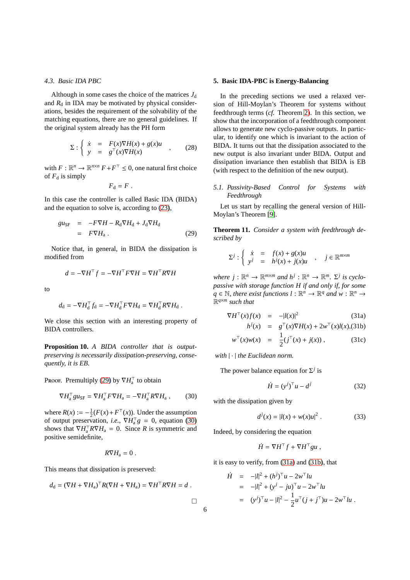## *4.3. Basic IDA PBC*

Although in some cases the choice of the matrices  $J<sub>d</sub>$ and  $R_d$  in IDA may be motivated by physical considerations, besides the requirement of the solvability of the matching equations, there are no general guidelines. If the original system already has the PH form

$$
\Sigma: \begin{cases} \dot{x} = F(x)\nabla H(x) + g(x)u \\ y = g^{\top}(x)\nabla H(x) \end{cases}
$$
, (28)

<span id="page-5-7"></span>with  $F: \mathbb{R}^n \to \mathbb{R}^{n \times n}$   $F + F^{\top} \leq 0$ , one natural first choice of  $F_d$  is simply

$$
F_{\rm d}=F\;.
$$

<span id="page-5-1"></span>In this case the controller is called Basic IDA (BIDA) and the equation to solve is, according to [\(23\)](#page-4-1),

$$
gu_{SF} = -F\nabla H - R_d \nabla H_d + J_d \nabla H_d
$$
  
=  $F \nabla H_a$ . (29)

Notice that, in general, in BIDA the dissipation is modified from

$$
d = -\nabla H^{\top} f = -\nabla H^{\top} F \nabla H = \nabla H^{\top} R \nabla H
$$

to

$$
d_{\rm d} = -\nabla H_{\rm d}^{\rm T} f_{\rm d} = -\nabla H_{\rm d}^{\rm T} F \nabla H_{\rm d} = \nabla H_{\rm d}^{\rm T} R \nabla H_{\rm d}.
$$

We close this section with an interesting property of BIDA controllers.

**Proposition 10.** *A BIDA controller that is outputpreserving is necessarily dissipation-preserving, consequently, it is EB.*

Proof. Premultiply [\(29\)](#page-5-1) by  $\nabla H_a^{\top}$  to obtain

$$
\nabla H_a^{\top} g u_{\rm SF} = \nabla H_a^{\top} F \nabla H_a = - \nabla H_a^{\top} R \nabla H_a , \qquad (30)
$$

<span id="page-5-2"></span>where  $R(x) := -\frac{1}{2}(F(x) + F^{\top}(x))$ . Under the assumption of output preservation, *i.e.*,  $\nabla H_a^{\top} g = 0$ , equation [\(30\)](#page-5-2) shows that  $\nabla H_a^{\top} R \nabla H_a = 0$ . Since *R* is symmetric and positive semidefinite,

$$
R\nabla H_{\rm a}=0.
$$

This means that dissipation is preserved:

$$
d_{\rm d} = (\nabla H + \nabla H_{\rm a})^{\top} R (\nabla H + \nabla H_{\rm a}) = \nabla H^{\top} R \nabla H = d.
$$

## <span id="page-5-0"></span>**5. Basic IDA-PBC is Energy-Balancing**

In the preceding sections we used a relaxed version of Hill-Moylan's Theorem for systems without feedthrough terms (*cf.* Theorem [2\)](#page-1-5). In this section, we show that the incorporation of a feedthrough component allows to generate new cyclo-passive outputs. In particular, to identify one which is invariant to the action of BIDA. It turns out that the dissipation associated to the new output is also invariant under BIDA. Output and dissipation invariance then establish that BIDA is EB (with respect to the definition of the new output).

*5.1. Passivity-Based Control for Systems with Feedthrough*

<span id="page-5-6"></span>Let us start by recalling the general version of Hill-Moylan's Theorem [\[9](#page-9-3)].

**Theorem 11.** *Consider a system with feedthrough described by*

$$
\Sigma^j : \begin{cases} \dot{x} = f(x) + g(x)u \\ y^j = h^j(x) + j(x)u \end{cases}, \quad j \in \mathbb{R}^{m \times m}
$$

 $where \, j: \mathbb{R}^n \to \mathbb{R}^{m \times m} \text{ and } h^j: \mathbb{R}^n \to \mathbb{R}^m$ .  $\Sigma^j$  *is cyclopassive with storage function H if and only if, for some*  $q \in \mathbb{N}$ , there exist functions  $l : \mathbb{R}^n \to \mathbb{R}^q$  and  $w : \mathbb{R}^n \to$ R *<sup>q</sup>*×*<sup>m</sup> such that*

<span id="page-5-3"></span>
$$
\nabla H^{\top}(x)f(x) = -|l(x)|^2 \tag{31a}
$$

$$
h^{j}(x) = g^{\top}(x)\nabla H(x) + 2w^{\top}(x)l(x),(31b)
$$
  

$$
w^{\top}(x)w(x) = \frac{1}{2}(j^{\top}(x) + j(x)),
$$
 (31c)

*with*  $|\cdot|$  *the Euclidean norm.* 

<span id="page-5-5"></span>The power balance equation for  $\Sigma^{j}$  is

$$
\dot{H} = (y^j)^\top u - d^j \tag{32}
$$

<span id="page-5-4"></span>with the dissipation given by

$$
d^{j}(x) = |l(x) + w(x)u|^{2}.
$$
 (33)

Indeed, by considering the equation

$$
\dot{H} = \nabla H^\top f + \nabla H^\top g u \;,
$$

it is easy to verify, from [\(31a\)](#page-5-3) and [\(31b\)](#page-5-3), that

$$
\dot{H} = -|l|^2 + (h^j)^{\top} u - 2w^{\top} l u \n= -|l|^2 + (y^j - ju)^{\top} u - 2w^{\top} l u \n= (y^j)^{\top} u - |l|^2 - \frac{1}{2} u^{\top} (j + j^{\top}) u - 2w^{\top} l u .
$$

6

 $\Box$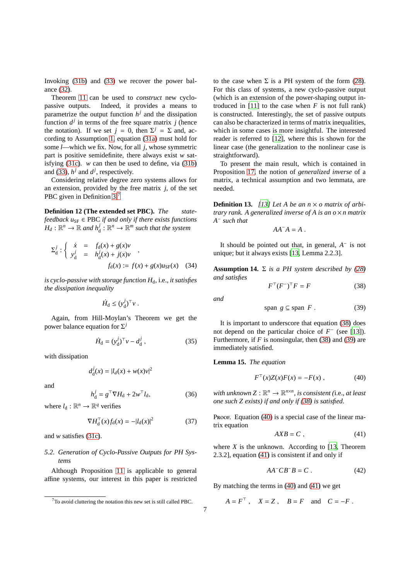Invoking [\(31b\)](#page-5-3) and [\(33\)](#page-5-4) we recover the power balance [\(32\)](#page-5-5).

Theorem [11](#page-5-6) can be used to *construct* new cyclopassive outputs. Indeed, it provides a means to parametrize the output function  $h^j$  and the dissipation function  $d^j$  in terms of the free square matrix *j* (hence the notation). If we set  $j = 0$ , then  $\Sigma^{j} = \Sigma$  and, according to Assumption [1,](#page-1-0) equation [\(31a\)](#page-5-3) must hold for some *l*—which we fix. Now, for all *j*, whose symmetric part is positive semidefinite, there always exist *w* satisfying [\(31c\)](#page-5-3). *w* can then be used to define, via [\(31b\)](#page-5-3) and [\(33\)](#page-5-4),  $h^j$  and  $d^j$ , respectively.

Considering relative degree zero systems allows for an extension, provided by the free matrix *j*, of the set PBC given in Definition [3.](#page-2-3)<sup>[7](#page-6-0)</sup>

**Definition 12 (The extended set PBC).** *The statefeedback*  $u_{SF} \in PBC$  *if and only if there exists functions*  $H_d: \mathbb{R}^n \to \mathbb{R}$  and  $h_d^j: \mathbb{R}^n \to \mathbb{R}^m$  such that the system

$$
\Sigma_{\rm d}^j : \begin{cases}\n\dot{x} = f_{\rm d}(x) + g(x)v \\
y_{\rm d}^j = h_{\rm d}^j(x) + j(x)v \\
f_{\rm d}(x) := f(x) + g(x)u_{\rm SF}(x)\n\end{cases}
$$
\n(34)

*is cyclo-passive with storage function*  $H_d$ *, i.e., it satisfies the dissipation inequality*

$$
\dot{H}_{\rm d} \leq (y_{\rm d}^j)^\top v \; .
$$

Again, from Hill-Moylan's Theorem we get the power balance equation for  $\Sigma^j$ 

$$
\dot{H}_{\rm d} = (y_{\rm d}^j)^\top v - d_{\rm d}^j \,, \tag{35}
$$

<span id="page-6-8"></span>with dissipation

$$
d_{d}^{j}(x) = |l_{d}(x) + w(x)v|^{2}
$$

<span id="page-6-10"></span>and

$$
h_d^j = g^\top \nabla H_d + 2w^\top l_d, \qquad (36)
$$

where  $l_d : \mathbb{R}^n \to \mathbb{R}^q$  verifies

$$
\nabla H_d^\top(x) f_d(x) = -|l_d(x)|^2 \tag{37}
$$

<span id="page-6-9"></span>and *w* satisfies [\(31c\)](#page-5-3).

# *5.2. Generation of Cyclo-Passive Outputs for PH Systems*

Although Proposition [11](#page-5-6) is applicable to general affine systems, our interest in this paper is restricted to the case when  $\Sigma$  is a PH system of the form [\(28\)](#page-5-7). For this class of systems, a new cyclo-passive output (which is an extension of the power-shaping output introduced in  $[11]$  to the case when *F* is not full rank) is constructed. Interestingly, the set of passive outputs can also be characterized in terms of matrix inequalities, which in some cases is more insightful. The interested reader is referred to [\[12](#page-9-6)], where this is shown for the linear case (the generalization to the nonlinear case is straightforward).

To present the main result, which is contained in Proposition [17,](#page-7-0) the notion of *generalized inverse* of a matrix, a technical assumption and two lemmata, are needed.

**Definition 13.** *[\[13\]](#page-9-7) Let A be an n* × *o matrix of arbitrary rank. A generalized inverse of A is an o* × *n matrix A* − *such that*

$$
AA^{-}A=A\ .
$$

<span id="page-6-6"></span>It should be pointed out that, in general,  $A^-$  is not unique; but it always exists [\[13](#page-9-7), Lemma 2.2.3].

**Assumption 14.** Σ *is a PH system described by [\(28\)](#page-5-7) and satisfies*

$$
F^{\top}(F^-)^{\top}F = F \tag{38}
$$

<span id="page-6-2"></span><span id="page-6-1"></span>*and*

$$
span\ g \subseteq span\ F\ . \tag{39}
$$

It is important to underscore that equation [\(38\)](#page-6-1) does not depend on the particular choice of  $F^-$  (see [\[13\]](#page-9-7)). Furthermore, if *F* is nonsingular, then [\(38\)](#page-6-1) and [\(39\)](#page-6-2) are immediately satisfied.

<span id="page-6-7"></span><span id="page-6-3"></span>**Lemma 15.** *The equation*

$$
F^{\top}(x)Z(x)F(x) = -F(x), \qquad (40)
$$

 $$ *one such Z exists) if and only if [\(38\)](#page-6-1) is satisfied.*

PROOF. Equation [\(40\)](#page-6-3) is a special case of the linear matrix equation

$$
AXB = C \t\t(41)
$$

<span id="page-6-4"></span>where  $X$  is the unknown. According to [\[13,](#page-9-7) Theorem 2.3.2], equation [\(41\)](#page-6-4) is consistent if and only if

$$
AA^{-}CB^{-}B = C \t\t(42)
$$

<span id="page-6-5"></span>By matching the terms in [\(40\)](#page-6-3) and [\(41\)](#page-6-4) we get

$$
A = F^{\top}, \quad X = Z, \quad B = F \quad \text{and} \quad C = -F.
$$

<span id="page-6-0"></span> $7$ To avoid cluttering the notation this new set is still called PBC.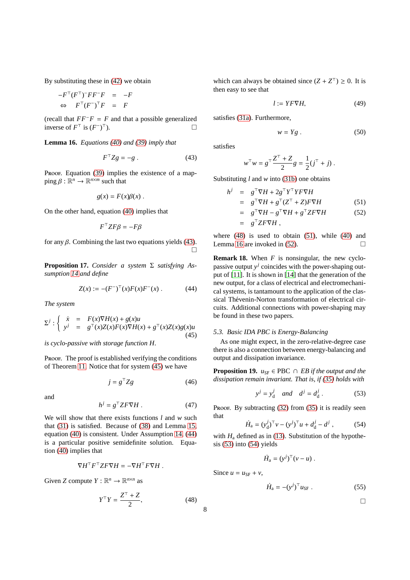By substituting these in [\(42\)](#page-6-5) we obtain

$$
-F^{\top}(F^{\top})^{-}FF^{-}F = -F
$$
  

$$
\Leftrightarrow F^{\top}(F^{-})^{\top}F = F
$$

(recall that  $FF^-F = F$  and that a possible generalized inverse of  $F^{\top}$  is  $(F^{\top})$ <sup>⊤</sup>). ¤

<span id="page-7-6"></span><span id="page-7-1"></span>**Lemma 16.** *Equations [\(40\)](#page-6-3) and [\(39\)](#page-6-2) imply that*

$$
F^{\top}Zg = -g \tag{43}
$$

PROOF. Equation [\(39\)](#page-6-2) implies the existence of a map- $\text{ping } \beta : \mathbb{R}^n \to \mathbb{R}^{n \times m}$  such that

$$
g(x) = F(x)\beta(x) .
$$

On the other hand, equation [\(40\)](#page-6-3) implies that

$$
F^{\top} Z F \beta = -F \beta
$$

for any β. Combining the last two equations yields [\(43\)](#page-7-1). ¤

<span id="page-7-0"></span>**Proposition 17.** *Consider a system* Σ *satisfying Assumption [14](#page-6-6) and define*

$$
Z(x) := -(F^{-})^{\top}(x)F(x)F^{-}(x) . \qquad (44)
$$

<span id="page-7-3"></span>*The system*

<span id="page-7-2"></span>
$$
\Sigma^{j} : \begin{cases}\n\dot{x} = F(x)\nabla H(x) + g(x)u \\
y^{j} = g^{\top}(x)Z(x)F(x)\nabla H(x) + g^{\top}(x)Z(x)g(x)u\n\end{cases}
$$
\n(45)

*is cyclo-passive with storage function H.*

PROOF. The proof is established verifying the conditions of Theorem [11.](#page-5-6) Notice that for system [\(45\)](#page-7-2) we have

$$
j = g^{\top} Z g \tag{46}
$$

<span id="page-7-10"></span>and

$$
h^j = g^{\top} Z F \nabla H \ . \tag{47}
$$

We will show that there exists functions *l* and *w* such that [\(31\)](#page-5-3) is satisfied. Because of [\(38\)](#page-6-1) and Lemma [15,](#page-6-7) equation [\(40\)](#page-6-3) is consistent. Under Assumption [14,](#page-6-6) [\(44\)](#page-7-3) is a particular positive semidefinite solution. Equation [\(40\)](#page-6-3) implies that

$$
\nabla H^\top F^\top Z F \nabla H = - \nabla H^\top F \nabla H \; .
$$

<span id="page-7-4"></span>Given *Z* compute  $Y : \mathbb{R}^n \to \mathbb{R}^{n \times n}$  as

$$
Y^{\top}Y = \frac{Z^{\top} + Z}{2},\tag{48}
$$

which can always be obtained since  $(Z + Z<sup>T</sup>) \ge 0$ . It is then easy to see that

$$
l := YF\nabla H,\t\t(49)
$$

<span id="page-7-9"></span>satisfies [\(31a\)](#page-5-3). Furthermore,

*w*

$$
w = Yg . \tag{50}
$$

satisfies

$$
v^{\top} w = g^{\top} \frac{Z^{\top} + Z}{2} g = \frac{1}{2} (j^{\top} + j).
$$

<span id="page-7-5"></span>Substituting *l* and *w* into [\(31b\)](#page-5-3) one obtains

$$
h^{j} = g^{\top} \nabla H + 2g^{\top} Y^{\top} Y F \nabla H
$$
  
=  $g^{\top} \nabla H + g^{\top} (Z^{\top} + Z) F \nabla H$  (51)  
=  $g^{\top} \nabla H - g^{\top} \nabla H + g^{\top} Z F \nabla H$  (52)

$$
= g^{\top} Z F \nabla H ,
$$

where  $(48)$  is used to obtain  $(51)$ , while  $(40)$  and Lemma [16](#page-7-6) are invoked in  $(52)$ .

**Remark 18.** When *F* is nonsingular, the new cyclopassive output  $y^j$  coincides with the power-shaping output of [\[11\]](#page-9-5). It is shown in [\[14](#page-9-8)] that the generation of the new output, for a class of electrical and electromechanical systems, is tantamount to the application of the classical Thévenin-Norton transformation of electrical circuits. Additional connections with power-shaping may be found in these two papers.

#### *5.3. Basic IDA PBC is Energy-Balancing*

As one might expect, in the zero-relative-degree case there is also a connection between energy-balancing and output and dissipation invariance.

**Proposition 19.**  $u_{SF} \in PBC \cap EB$  *if the output and the dissipation remain invariant. That is, if [\(35\)](#page-6-8) holds with*

$$
y^{j} = y_{d}^{j}
$$
 and  $d^{j} = d_{d}^{j}$ . (53)

<span id="page-7-7"></span>PROOF. By subtracting  $(32)$  from  $(35)$  it is readily seen that

$$
\dot{H}_a = (y_d^j)^{\top} v - (y^j)^{\top} u + d_d^j - d^j , \qquad (54)
$$

<span id="page-7-8"></span>with  $H_a$  defined as in [\(13\)](#page-3-3). Substitution of the hypothesis [\(53\)](#page-7-7) into [\(54\)](#page-7-8) yields

$$
\dot{H}_a = (y^j)^\top (v - u) \; .
$$

<span id="page-7-11"></span>Since  $u = u_{SF} + v$ ,

$$
\dot{H}_a = -(y^j)^\top u_{SF} . \tag{55}
$$

$$
\Box
$$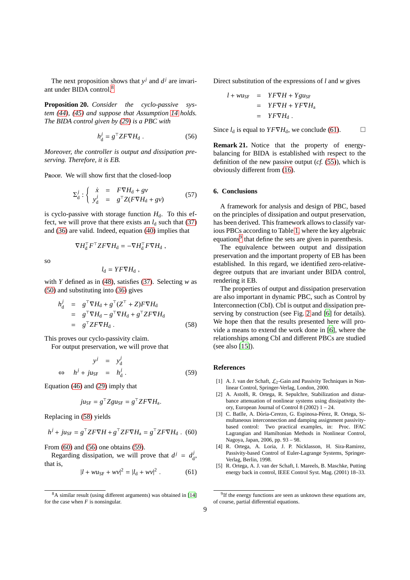The next proposition shows that  $y^j$  and  $d^j$  are invariant under BIDA control.[8](#page-8-6)

**Proposition 20.** *Consider the cyclo-passive system [\(44\)](#page-7-3), [\(45\)](#page-7-2) and suppose that Assumption [14](#page-6-6) holds. The BIDA control given by [\(29\)](#page-5-1) is a PBC with*

$$
h_{\rm d}^j = g^\top Z F \nabla H_{\rm d} \ . \tag{56}
$$

<span id="page-8-9"></span>*Moreover, the controller is output and dissipation preserving. Therefore, it is EB.*

PROOF. We will show first that the closed-loop

$$
\Sigma_{\rm d}^j : \left\{ \begin{array}{rcl} \dot{x} & = & F \nabla H_{\rm d} + g v \\ y_{\rm d}^j & = & g^\top Z (F \nabla H_{\rm d} + g v) \end{array} \right. \tag{57}
$$

is cyclo-passive with storage function  $H_d$ . To this effect, we will prove that there exists an  $l_d$  such that [\(37\)](#page-6-9) and [\(36\)](#page-6-10) are valid. Indeed, equation [\(40\)](#page-6-3) implies that

$$
\nabla H_{\mathrm{d}}^{\top} F^{\top} Z F \nabla H_{\mathrm{d}} = - \nabla H_{\mathrm{d}}^{\top} F \nabla H_{\mathrm{d}} ,
$$

so

$$
l_{\rm d}=YF\nabla H_{\rm d}\ ,
$$

<span id="page-8-7"></span>with *Y* defined as in [\(48\)](#page-7-4), satisfies [\(37\)](#page-6-9). Selecting *w* as [\(50\)](#page-7-9) and substituting into [\(36\)](#page-6-10) gives

$$
h_d^j = g^{\top} \nabla H_d + g^{\top} (Z^{\top} + Z) F \nabla H_d
$$
  
=  $g^{\top} \nabla H_d - g^{\top} \nabla H_d + g^{\top} Z F \nabla H_d$   
=  $g^{\top} Z F \nabla H_d$ . (58)

This proves our cyclo-passivity claim. For output preservation, we will prove that

<span id="page-8-10"></span>
$$
y^{j} = y_{d}^{j}
$$
  
\n
$$
\Leftrightarrow h^{j} + ju_{SF} = h_{d}^{j}.
$$
 (59)

Equation [\(46\)](#page-7-10) and [\(29\)](#page-5-1) imply that

$$
ju_{SF} = g^{\top} Zgu_{SF} = g^{\top} ZF \nabla H_a.
$$

<span id="page-8-0"></span>d

<span id="page-8-8"></span>Replacing in [\(58\)](#page-8-7) yields

$$
h^{j} + ju_{\text{SF}} = g^{\top} ZF \nabla H + g^{\top} ZF \nabla H_{\text{a}} = g^{\top} ZF \nabla H_{\text{d}} .
$$
 (60)

From [\(60\)](#page-8-8) and [\(56\)](#page-8-9) one obtains [\(59\)](#page-8-10).

<span id="page-8-11"></span>Regarding dissipation, we will prove that  $d^j = d^j$ d , that is,

$$
|l + w u_{SF} + w v|^2 = |l_d + w v|^2. \tag{61}
$$

Direct substitution of the expressions of *l* and *w* gives

$$
l + w u_{SF} = YF\nabla H + Y g u_{SF}
$$
  
=  $YF\nabla H + YF\nabla H_a$   
=  $YF\nabla H_d$ .

Since  $l_d$  is equal to  $YF\nabla H_d$ , we conclude [\(61\)](#page-8-11).  $\Box$ 

**Remark 21.** Notice that the property of energybalancing for BIDA is established with respect to the definition of the new passive output (*cf.* [\(55\)](#page-7-11)), which is obviously different from [\(16\)](#page-3-9).

## <span id="page-8-5"></span>**6. Conclusions**

A framework for analysis and design of PBC, based on the principles of dissipation and output preservation, has been derived. This framework allows to classify various PBCs according to Table [1,](#page-10-0) where the key algebraic equations<sup>[9](#page-8-12)</sup> that define the sets are given in parenthesis.

The equivalence between output and dissipation preservation and the important property of EB has been established. In this regard, we identified zero-relativedegree outputs that are invariant under BIDA control, rendering it EB.

The properties of output and dissipation preservation are also important in dynamic PBC, such as Control by Interconnection (CbI). CbI is output and dissipation preserving by construction (see Fig. [2](#page-10-1) and [\[6](#page-9-0)] for details). We hope then that the results presented here will provide a means to extend the work done in [\[6](#page-9-0)], where the relationships among CbI and different PBCs are studied (see also [\[15\]](#page-9-9)).

## **References**

- [1] A. J. van der Schaft,  $\mathcal{L}_2$ -Gain and Passivity Techniques in Nonlinear Control, Springer-Verlag, London, 2000.
- <span id="page-8-1"></span>[2] A. Astolfi, R. Ortega, R. Sepulchre, Stabilization and disturbance attenuation of nonlinear systems using dissipativity theory, European Journal of Control 8 (2002) 1 – 24.
- <span id="page-8-4"></span>[3] C. Batlle, A. Dòria-Cerezo, G. Espinosa-Pérez, R. Ortega, Simultaneous interconnection and damping assignment passivitybased control: Two practical examples, in: Proc. IFAC Lagrangian and Hamiltonian Methods in Nonlinear Control, Nagoya, Japan, 2006, pp. 93 – 98.
- <span id="page-8-2"></span>[4] R. Ortega, A. Loria, J. P. Nicklasson, H. Sira-Ramirez, Passivity-based Control of Euler-Lagrange Systems, Springer-Verlag, Berlin, 1998.
- <span id="page-8-3"></span>[5] R. Ortega, A. J. van der Schaft, I. Mareels, B. Maschke, Putting energy back in control, IEEE Control Syst. Mag. (2001) 18–33.

<span id="page-8-6"></span><sup>8</sup>A similar result (using different arguments) was obtained in [\[14](#page-9-8)] for the case when *F* is nonsingular.

<span id="page-8-12"></span><sup>&</sup>lt;sup>9</sup>If the energy functions are seen as unknown these equations are, of course, partial differential equations.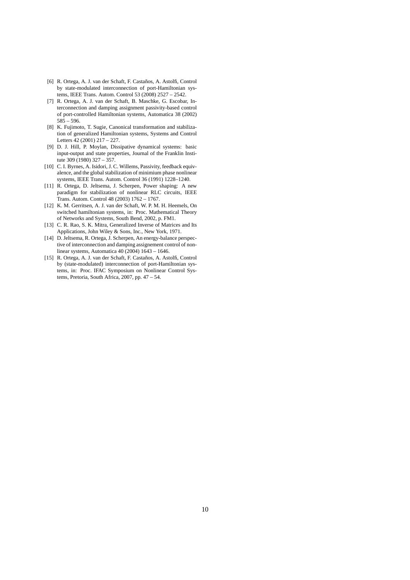- <span id="page-9-0"></span>[6] R. Ortega, A. J. van der Schaft, F. Castaños, A. Astolfi, Control by state-modulated interconnection of port-Hamiltonian systems, IEEE Trans. Autom. Control 53 (2008) 2527 – 2542.
- <span id="page-9-1"></span>[7] R. Ortega, A. J. van der Schaft, B. Maschke, G. Escobar, Interconnection and damping assignment passivity-based control of port-controlled Hamiltonian systems, Automatica 38 (2002) 585 – 596.
- <span id="page-9-2"></span>[8] K. Fujimoto, T. Sugie, Canonical transformation and stabilization of generalized Hamiltonian systems, Systems and Control Letters 42 (2001) 217 – 227.
- <span id="page-9-3"></span>[9] D. J. Hill, P. Moylan, Dissipative dynamical systems: basic input-output and state properties, Journal of the Franklin Institute 309 (1980) 327 – 357.
- <span id="page-9-4"></span>[10] C. I. Byrnes, A. Isidori, J. C. Willems, Passivity, feedback equivalence, and the global stabilization of minimium phase nonlinear systems, IEEE Trans. Autom. Control 36 (1991) 1228–1240.
- <span id="page-9-5"></span>[11] R. Ortega, D. Jeltsema, J. Scherpen, Power shaping: A new paradigm for stabilization of nonlinear RLC circuits, IEEE Trans. Autom. Control 48 (2003) 1762 – 1767.
- <span id="page-9-6"></span>[12] K. M. Gerritsen, A. J. van der Schaft, W. P. M. H. Heemels, On switched hamiltonian systems, in: Proc. Mathematical Theory of Networks and Systems, South Bend, 2002, p. FM1.
- <span id="page-9-7"></span>[13] C. R. Rao, S. K. Mitra, Generalized Inverse of Matrices and Its Applications, John Wiley & Sons, Inc., New York, 1971.
- <span id="page-9-8"></span>[14] D. Jeltsema, R. Ortega, J. Scherpen, An energy-balance perspective of interconnection and damping assignement control of nonlinear systems, Automatica 40 (2004) 1643 – 1646.
- <span id="page-9-9"></span>[15] R. Ortega, A. J. van der Schaft, F. Castaños, A. Astolfi, Control by (state-modulated) interconnection of port-Hamiltonian systems, in: Proc. IFAC Symposium on Nonlinear Control Systems, Pretoria, South Africa, 2007, pp. 47 – 54.